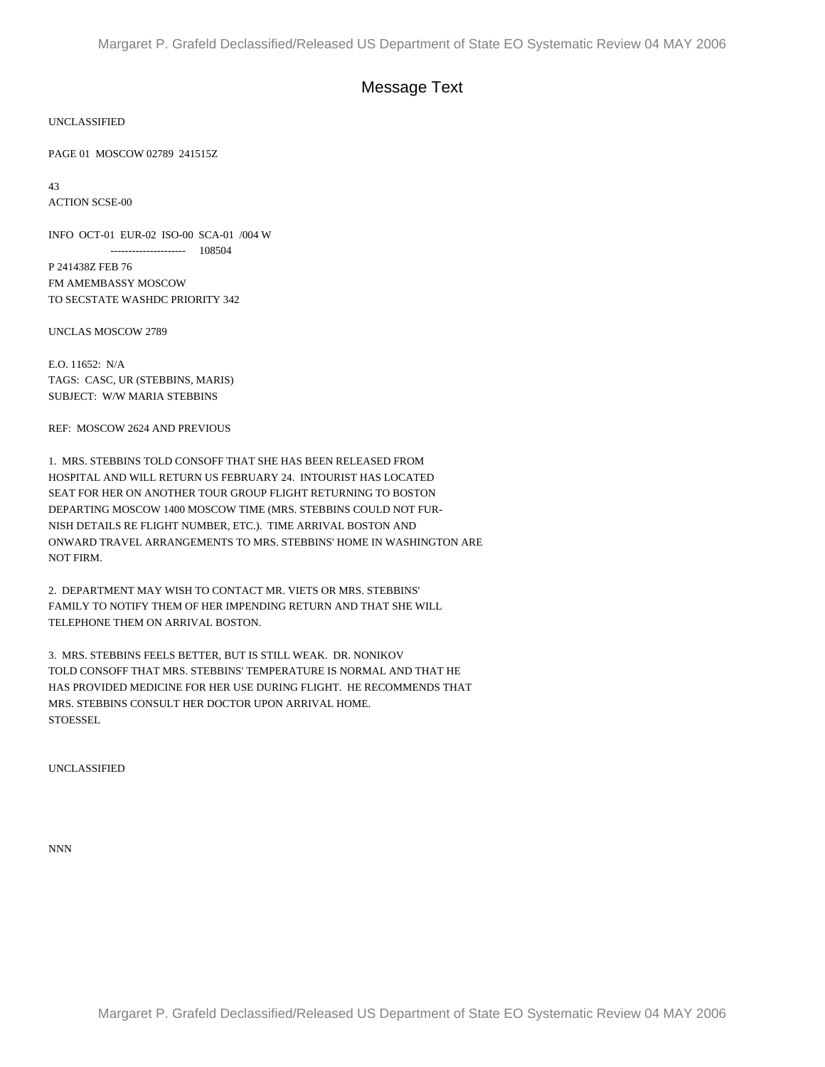## Message Text

UNCLASSIFIED

PAGE 01 MOSCOW 02789 241515Z

43 ACTION SCSE-00

INFO OCT-01 EUR-02 ISO-00 SCA-01 /004 W --------------------- 108504 P 241438Z FEB 76 FM AMEMBASSY MOSCOW

UNCLAS MOSCOW 2789

E.O. 11652: N/A TAGS: CASC, UR (STEBBINS, MARIS) SUBJECT: W/W MARIA STEBBINS

TO SECSTATE WASHDC PRIORITY 342

REF: MOSCOW 2624 AND PREVIOUS

1. MRS. STEBBINS TOLD CONSOFF THAT SHE HAS BEEN RELEASED FROM HOSPITAL AND WILL RETURN US FEBRUARY 24. INTOURIST HAS LOCATED SEAT FOR HER ON ANOTHER TOUR GROUP FLIGHT RETURNING TO BOSTON DEPARTING MOSCOW 1400 MOSCOW TIME (MRS. STEBBINS COULD NOT FUR-NISH DETAILS RE FLIGHT NUMBER, ETC.). TIME ARRIVAL BOSTON AND ONWARD TRAVEL ARRANGEMENTS TO MRS. STEBBINS' HOME IN WASHINGTON ARE NOT FIRM.

2. DEPARTMENT MAY WISH TO CONTACT MR. VIETS OR MRS. STEBBINS' FAMILY TO NOTIFY THEM OF HER IMPENDING RETURN AND THAT SHE WILL TELEPHONE THEM ON ARRIVAL BOSTON.

3. MRS. STEBBINS FEELS BETTER, BUT IS STILL WEAK. DR. NONIKOV TOLD CONSOFF THAT MRS. STEBBINS' TEMPERATURE IS NORMAL AND THAT HE HAS PROVIDED MEDICINE FOR HER USE DURING FLIGHT. HE RECOMMENDS THAT MRS. STEBBINS CONSULT HER DOCTOR UPON ARRIVAL HOME. **STOESSEL** 

UNCLASSIFIED

NNN